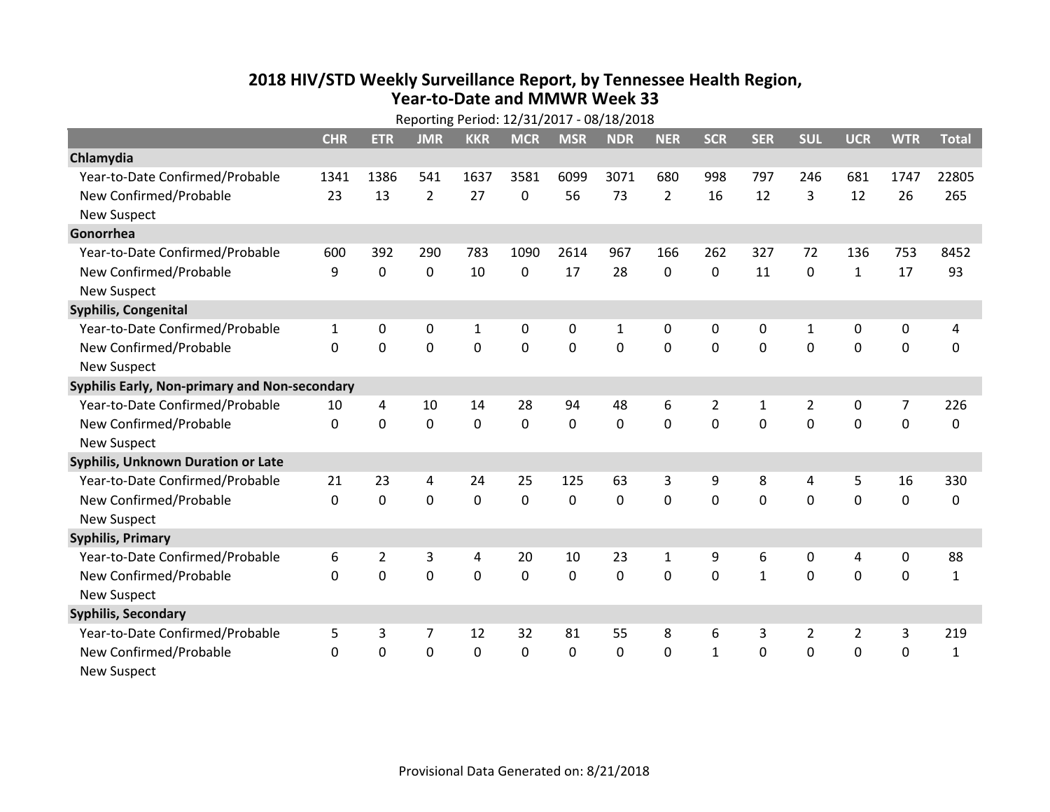## **2018 HIV /STD Weekl y Surveillance Report, b y Tennessee Health Region, Year‐to‐Date and MMWR Week 33**

|                                               | Reporting Period: 12/31/2017 - 08/18/2018 |                |                |             |             |             |                |                |                |              |                |                  |                  |              |
|-----------------------------------------------|-------------------------------------------|----------------|----------------|-------------|-------------|-------------|----------------|----------------|----------------|--------------|----------------|------------------|------------------|--------------|
|                                               | <b>CHR</b>                                | <b>ETR</b>     | <b>JMR</b>     | <b>KKR</b>  | <b>MCR</b>  | <b>MSR</b>  | <b>NDR</b>     | <b>NER</b>     | <b>SCR</b>     | <b>SER</b>   | <b>SUL</b>     | <b>UCR</b>       | <b>WTR</b>       | <b>Total</b> |
| Chlamydia                                     |                                           |                |                |             |             |             |                |                |                |              |                |                  |                  |              |
| Year-to-Date Confirmed/Probable               | 1341                                      | 1386           | 541            | 1637        | 3581        | 6099        | 3071           | 680            | 998            | 797          | 246            | 681              | 1747             | 22805        |
| New Confirmed/Probable                        | 23                                        | 13             | $\overline{2}$ | 27          | 0           | 56          | 73             | $\overline{2}$ | 16             | 12           | 3              | 12               | 26               | 265          |
| <b>New Suspect</b>                            |                                           |                |                |             |             |             |                |                |                |              |                |                  |                  |              |
| Gonorrhea                                     |                                           |                |                |             |             |             |                |                |                |              |                |                  |                  |              |
| Year-to-Date Confirmed/Probable               | 600                                       | 392            | 290            | 783         | 1090        | 2614        | 967            | 166            | 262            | 327          | 72             | 136              | 753              | 8452         |
| New Confirmed/Probable                        | 9                                         | $\mathbf 0$    | $\mathbf 0$    | 10          | $\mathbf 0$ | 17          | 28             | 0              | $\mathbf 0$    | 11           | $\mathbf{0}$   | $\mathbf{1}$     | 17               | 93           |
| <b>New Suspect</b>                            |                                           |                |                |             |             |             |                |                |                |              |                |                  |                  |              |
| Syphilis, Congenital                          |                                           |                |                |             |             |             |                |                |                |              |                |                  |                  |              |
| Year-to-Date Confirmed/Probable               | $\mathbf{1}$                              | 0              | 0              | 1           | 0           | 0           | $\mathbf{1}$   | 0              | 0              | 0            | 1              | 0                | 0                | 4            |
| New Confirmed/Probable                        | $\Omega$                                  | $\mathbf{0}$   | $\mathbf 0$    | $\mathbf 0$ | $\mathbf 0$ | $\mathbf 0$ | $\overline{0}$ | 0              | $\mathbf 0$    | $\mathbf{0}$ | $\mathbf{0}$   | $\mathbf 0$      | $\mathbf 0$      | $\mathbf 0$  |
| <b>New Suspect</b>                            |                                           |                |                |             |             |             |                |                |                |              |                |                  |                  |              |
| Syphilis Early, Non-primary and Non-secondary |                                           |                |                |             |             |             |                |                |                |              |                |                  |                  |              |
| Year-to-Date Confirmed/Probable               | 10                                        | 4              | 10             | 14          | 28          | 94          | 48             | 6              | $\overline{2}$ | $\mathbf{1}$ | $\overline{2}$ | 0                | 7                | 226          |
| New Confirmed/Probable                        | $\Omega$                                  | $\mathbf 0$    | $\mathbf 0$    | $\mathbf 0$ | $\mathbf 0$ | $\mathbf 0$ | $\overline{0}$ | 0              | $\Omega$       | $\Omega$     | $\mathbf{0}$   | $\mathbf 0$      | $\mathbf 0$      | 0            |
| <b>New Suspect</b>                            |                                           |                |                |             |             |             |                |                |                |              |                |                  |                  |              |
| <b>Syphilis, Unknown Duration or Late</b>     |                                           |                |                |             |             |             |                |                |                |              |                |                  |                  |              |
| Year-to-Date Confirmed/Probable               | 21                                        | 23             | $\overline{4}$ | 24          | 25          | 125         | 63             | 3              | 9              | 8            | $\overline{4}$ | 5                | 16               | 330          |
| New Confirmed/Probable                        | $\Omega$                                  | $\mathbf 0$    | $\mathbf 0$    | $\mathbf 0$ | $\mathbf 0$ | $\mathbf 0$ | $\mathbf 0$    | $\Omega$       | $\Omega$       | $\Omega$     | $\Omega$       | $\mathbf 0$      | $\mathbf 0$      | $\Omega$     |
| <b>New Suspect</b>                            |                                           |                |                |             |             |             |                |                |                |              |                |                  |                  |              |
| <b>Syphilis, Primary</b>                      |                                           |                |                |             |             |             |                |                |                |              |                |                  |                  |              |
| Year-to-Date Confirmed/Probable               | 6                                         | $\overline{2}$ | 3              | 4           | 20          | 10          | 23             | $\mathbf{1}$   | 9              | 6            | $\mathbf 0$    | 4                | $\boldsymbol{0}$ | 88           |
| New Confirmed/Probable                        | $\Omega$                                  | $\mathbf 0$    | $\mathbf 0$    | $\mathbf 0$ | $\mathbf 0$ | $\mathbf 0$ | $\mathbf 0$    | 0              | $\mathbf 0$    | $\mathbf{1}$ | $\mathbf{0}$   | $\mathbf 0$      | $\mathbf 0$      | $\mathbf{1}$ |
| <b>New Suspect</b>                            |                                           |                |                |             |             |             |                |                |                |              |                |                  |                  |              |
| <b>Syphilis, Secondary</b>                    |                                           |                |                |             |             |             |                |                |                |              |                |                  |                  |              |
| Year-to-Date Confirmed/Probable               | 5                                         | 3              | 7              | 12          | 32          | 81          | 55             | 8              | 6              | 3            | $\overline{2}$ | $\overline{2}$   | 3                | 219          |
| New Confirmed/Probable                        | $\Omega$                                  | 0              | $\mathbf 0$    | $\mathbf 0$ | $\mathbf 0$ | 0           | $\mathbf 0$    | 0              | $\mathbf{1}$   | $\mathbf 0$  | $\mathbf 0$    | $\boldsymbol{0}$ | $\mathbf 0$      | $\mathbf{1}$ |
| <b>New Suspect</b>                            |                                           |                |                |             |             |             |                |                |                |              |                |                  |                  |              |